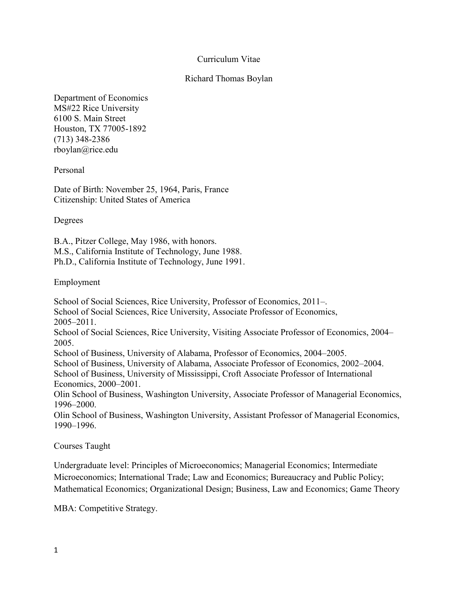## Curriculum Vitae

## Richard Thomas Boylan

Department of Economics MS#22 Rice University 6100 S. Main Street Houston, TX 77005-1892 (713) 348-2386 [rboylan@rice.edu](mailto:rboylan@rice.edu)

Personal

Date of Birth: November 25, 1964, Paris, France Citizenship: United States of America

Degrees

B.A., Pitzer College, May 1986, with honors. M.S., California Institute of Technology, June 1988. Ph.D., California Institute of Technology, June 1991.

Employment

School of Social Sciences, Rice University, Professor of Economics, 2011–. School of Social Sciences, Rice University, Associate Professor of Economics, 2005–2011. School of Social Sciences, Rice University, Visiting Associate Professor of Economics, 2004– 2005. School of Business, University of Alabama, Professor of Economics, 2004–2005. School of Business, University of Alabama, Associate Professor of Economics, 2002–2004. School of Business, University of Mississippi, Croft Associate Professor of International Economics, 2000–2001. Olin School of Business, Washington University, Associate Professor of Managerial Economics, 1996–2000.

Olin School of Business, Washington University, Assistant Professor of Managerial Economics, 1990–1996.

Courses Taught

Undergraduate level: Principles of Microeconomics; Managerial Economics; Intermediate Microeconomics; International Trade; Law and Economics; Bureaucracy and Public Policy; Mathematical Economics; Organizational Design; Business, Law and Economics; Game Theory

MBA: Competitive Strategy.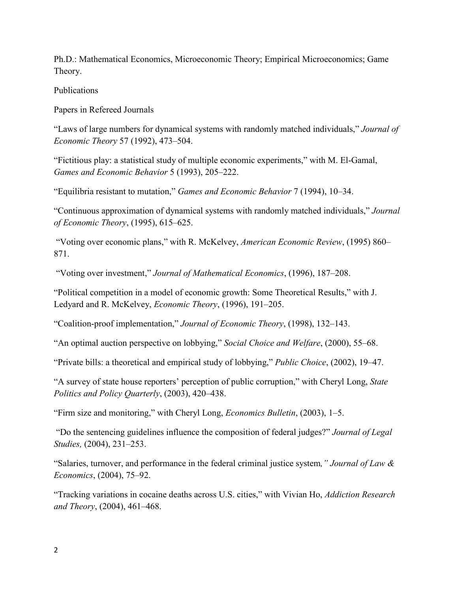Ph.D.: Mathematical Economics, Microeconomic Theory; Empirical Microeconomics; Game Theory.

Publications

Papers in Refereed Journals

"Laws of large numbers for dynamical systems with randomly matched individuals," *Journal of Economic Theory* 57 (1992), 473–504.

"Fictitious play: a statistical study of multiple economic experiments," with M. El-Gamal, *Games and Economic Behavior* 5 (1993), 205–222.

"Equilibria resistant to mutation," *Games and Economic Behavior* 7 (1994), 10–34.

"Continuous approximation of dynamical systems with randomly matched individuals," *Journal of Economic Theory*, (1995), 615–625.

"Voting over economic plans," with R. McKelvey, *American Economic Review*, (1995) 860– 871.

"Voting over investment," *Journal of Mathematical Economics*, (1996), 187–208.

"Political competition in a model of economic growth: Some Theoretical Results," with J. Ledyard and R. McKelvey, *Economic Theory*, (1996), 191–205.

"Coalition-proof implementation," *Journal of Economic Theory*, (1998), 132–143.

"An optimal auction perspective on lobbying," *Social Choice and Welfare*, (2000), 55–68.

"Private bills: a theoretical and empirical study of lobbying," *Public Choice*, (2002), 19–47.

"A survey of state house reporters' perception of public corruption," with Cheryl Long, *State Politics and Policy Quarterly*, (2003), 420–438.

"Firm size and monitoring," with Cheryl Long, *Economics Bulletin*, (2003), 1–5.

"Do the sentencing guidelines influence the composition of federal judges?" *Journal of Legal Studies,* (2004), 231–253.

"Salaries, turnover, and performance in the federal criminal justice system*," Journal of Law & Economics*, (2004), 75–92.

"Tracking variations in cocaine deaths across U.S. cities," with Vivian Ho, *Addiction Research and Theory*, (2004), 461–468.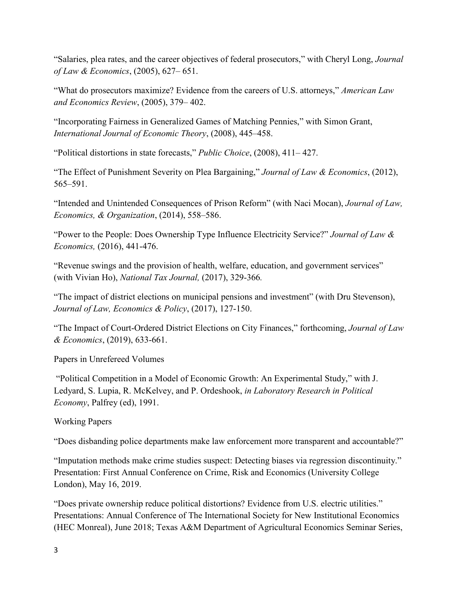"Salaries, plea rates, and the career objectives of federal prosecutors," with Cheryl Long, *Journal of Law & Economics*, (2005), 627– 651.

"What do prosecutors maximize? Evidence from the careers of U.S. attorneys," *American Law and Economics Review*, (2005), 379– 402.

"Incorporating Fairness in Generalized Games of Matching Pennies," with Simon Grant, *International Journal of Economic Theory*, (2008), 445–458.

"Political distortions in state forecasts," *Public Choice*, (2008), 411– 427.

"The Effect of Punishment Severity on Plea Bargaining," *Journal of Law & Economics*, (2012), 565–591.

"Intended and Unintended Consequences of Prison Reform" (with Naci Mocan), *Journal of Law, Economics, & Organization*, (2014), 558–586.

"Power to the People: Does Ownership Type Influence Electricity Service?" *Journal of Law & Economics,* (2016), 441-476.

"Revenue swings and the provision of health, welfare, education, and government services" (with Vivian Ho), *National Tax Journal,* (2017), 329-366*.*

"The impact of district elections on municipal pensions and investment" (with Dru Stevenson), *Journal of Law, Economics & Policy*, (2017), 127-150.

"The Impact of Court-Ordered District Elections on City Finances," forthcoming, *Journal of Law & Economics*, (2019), 633-661.

Papers in Unrefereed Volumes

"Political Competition in a Model of Economic Growth: An Experimental Study," with J. Ledyard, S. Lupia, R. McKelvey, and P. Ordeshook, *in Laboratory Research in Political Economy*, Palfrey (ed), 1991.

Working Papers

"Does disbanding police departments make law enforcement more transparent and accountable?"

"Imputation methods make crime studies suspect: Detecting biases via regression discontinuity." Presentation: First Annual Conference on Crime, Risk and Economics (University College London), May 16, 2019.

"Does private ownership reduce political distortions? Evidence from U.S. electric utilities." Presentations: Annual Conference of The International Society for New Institutional Economics (HEC Monreal), June 2018; Texas A&M Department of Agricultural Economics Seminar Series,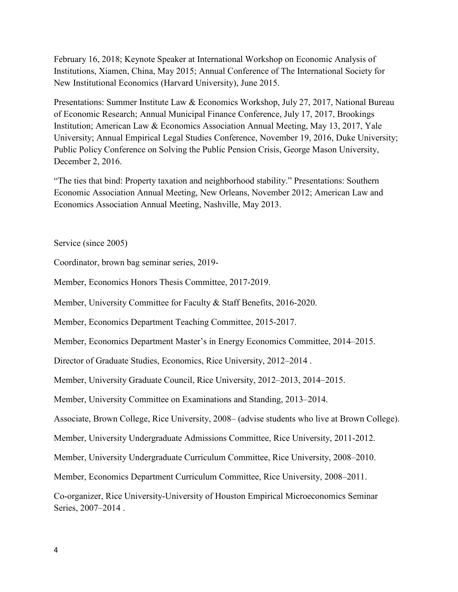February 16, 2018; Keynote Speaker at International Workshop on Economic Analysis of Institutions, Xiamen, China, May 2015; Annual Conference of The International Society for New Institutional Economics (Harvard University), June 2015.

Presentations: Summer Institute Law & Economics Workshop, July 27, 2017, National Bureau of Economic Research; Annual Municipal Finance Conference, July 17, 2017, Brookings Institution; American Law & Economics Association Annual Meeting, May 13, 2017, Yale University; Annual Empirical Legal Studies Conference, November 19, 2016, Duke University; Public Policy Conference on Solving the Public Pension Crisis, George Mason University, December 2, 2016.

"The ties that bind: Property taxation and neighborhood stability." Presentations: Southern Economic Association Annual Meeting, New Orleans, November 2012; American Law and Economics Association Annual Meeting, Nashville, May 2013.

Service (since 2005)

Coordinator, brown bag seminar series, 2019-

Member, Economics Honors Thesis Committee, 2017-2019.

Member, University Committee for Faculty & Staff Benefits, 2016-2020.

Member, Economics Department Teaching Committee, 2015-2017.

Member, Economics Department Master's in Energy Economics Committee, 2014–2015.

Director of Graduate Studies, Economics, Rice University, 2012–2014 .

Member, University Graduate Council, Rice University, 2012–2013, 2014–2015.

Member, University Committee on Examinations and Standing, 2013–2014.

Associate, Brown College, Rice University, 2008– (advise students who live at Brown College).

Member, University Undergraduate Admissions Committee, Rice University, 2011-2012.

Member, University Undergraduate Curriculum Committee, Rice University, 2008–2010.

Member, Economics Department Curriculum Committee, Rice University, 2008–2011.

Co-organizer, Rice University-University of Houston Empirical Microeconomics Seminar Series, 2007–2014 .